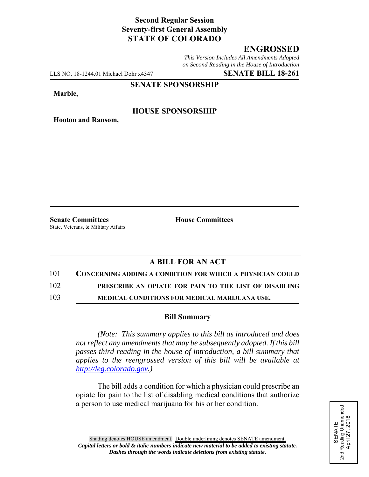## **Second Regular Session Seventy-first General Assembly STATE OF COLORADO**

## **ENGROSSED**

*This Version Includes All Amendments Adopted on Second Reading in the House of Introduction*

LLS NO. 18-1244.01 Michael Dohr x4347 **SENATE BILL 18-261**

**SENATE SPONSORSHIP**

**Marble,**

### **HOUSE SPONSORSHIP**

**Hooton and Ransom,**

State, Veterans, & Military Affairs

**Senate Committees House Committees** 

# **A BILL FOR AN ACT**

#### 101 **CONCERNING ADDING A CONDITION FOR WHICH A PHYSICIAN COULD**

102 **PRESCRIBE AN OPIATE FOR PAIN TO THE LIST OF DISABLING**

103 **MEDICAL CONDITIONS FOR MEDICAL MARIJUANA USE.**

#### **Bill Summary**

*(Note: This summary applies to this bill as introduced and does not reflect any amendments that may be subsequently adopted. If this bill passes third reading in the house of introduction, a bill summary that applies to the reengrossed version of this bill will be available at http://leg.colorado.gov.)*

The bill adds a condition for which a physician could prescribe an opiate for pain to the list of disabling medical conditions that authorize a person to use medical marijuana for his or her condition.

Shading denotes HOUSE amendment. Double underlining denotes SENATE amendment. *Capital letters or bold & italic numbers indicate new material to be added to existing statute. Dashes through the words indicate deletions from existing statute.*

SENATE<br>d Reading Unamended<br>April 27, 2018 2nd Reading Unamended April 27, 2018 2<sub>nd</sub>